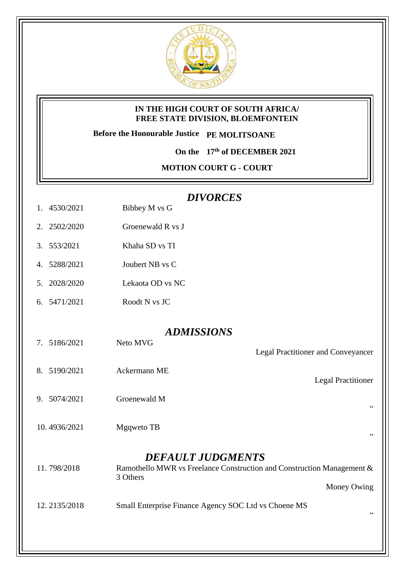

## **IN THE HIGH COURT OF SOUTH AFRICA/ FREE STATE DIVISION, BLOEMFONTEIN**

**Before the Honourable Justice PE MOLITSOANE**

**On the 17th of DECEMBER 2021**

**MOTION COURT G - COURT** 

## *DIVORCES*

- 1. 4530/2021 Bibbey M vs G
- 2. 2502/2020 Groenewald R vs J
- 3. 553/2021 Khaha SD vs TI
- 4. 5288/2021 Joubert NB vs C
- 5. 2028/2020 Lekaota OD vs NC
- 6. 5471/2021 Roodt N vs JC

## *ADMISSIONS*

- 7. 5186/2021 Neto MVG
- 8. 5190/2021 Ackermann ME
- 9. 5074/2021 Groenewald M
- 10. 4936/2021 Mgqweto TB

## *DEFAULT JUDGMENTS*

- 11. 798/2018 Ramothello MWR vs Freelance Construction and Construction Management & 3 Others Money Owing
- 12. 2135/2018 Small Enterprise Finance Agency SOC Ltd vs Choene MS

 $\alpha$ 

 $\ddot{\phantom{0}}$ 

"

Legal Practitioner and Conveyancer

Legal Practitioner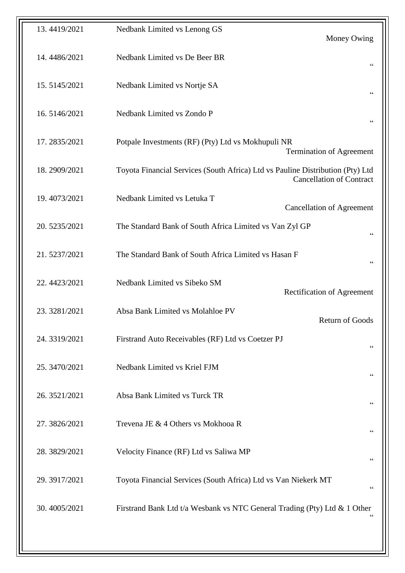| 13.4419/2021 | Nedbank Limited vs Lenong GS                                                                                      | Money Owing                       |
|--------------|-------------------------------------------------------------------------------------------------------------------|-----------------------------------|
| 14.4486/2021 | Nedbank Limited vs De Beer BR                                                                                     | $\mbox{\bf G}$                    |
| 15.5145/2021 | Nedbank Limited vs Nortje SA                                                                                      | $\mbox{\bf G}$                    |
| 16.5146/2021 | Nedbank Limited vs Zondo P                                                                                        | $\mbox{\bf G}$                    |
| 17.2835/2021 | Potpale Investments (RF) (Pty) Ltd vs Mokhupuli NR<br><b>Termination of Agreement</b>                             |                                   |
| 18.2909/2021 | Toyota Financial Services (South Africa) Ltd vs Pauline Distribution (Pty) Ltd<br><b>Cancellation of Contract</b> |                                   |
| 19.4073/2021 | Nedbank Limited vs Letuka T                                                                                       | <b>Cancellation of Agreement</b>  |
| 20.5235/2021 | The Standard Bank of South Africa Limited vs Van Zyl GP<br>$\zeta$ $\zeta$                                        |                                   |
| 21.5237/2021 | The Standard Bank of South Africa Limited vs Hasan F<br>$\mbox{\bf G}$                                            |                                   |
| 22.4423/2021 | Nedbank Limited vs Sibeko SM                                                                                      | <b>Rectification of Agreement</b> |
| 23.3281/2021 | Absa Bank Limited vs Molahloe PV                                                                                  | Return of Goods                   |
| 24.3319/2021 | Firstrand Auto Receivables (RF) Ltd vs Coetzer PJ                                                                 | $\zeta\,\zeta$                    |
| 25.3470/2021 | Nedbank Limited vs Kriel FJM                                                                                      | $\mbox{\bf G}$                    |
| 26.3521/2021 | Absa Bank Limited vs Turck TR                                                                                     | $\zeta$ $\zeta$                   |
| 27.3826/2021 | Trevena JE & 4 Others vs Mokhooa R                                                                                | $\zeta\,\zeta$                    |
| 28.3829/2021 | Velocity Finance (RF) Ltd vs Saliwa MP                                                                            | 66                                |
| 29.3917/2021 | Toyota Financial Services (South Africa) Ltd vs Van Niekerk MT                                                    | 66                                |
| 30.4005/2021 | Firstrand Bank Ltd t/a Wesbank vs NTC General Trading (Pty) Ltd & 1 Other<br>$\zeta$ $\zeta$                      |                                   |
|              |                                                                                                                   |                                   |